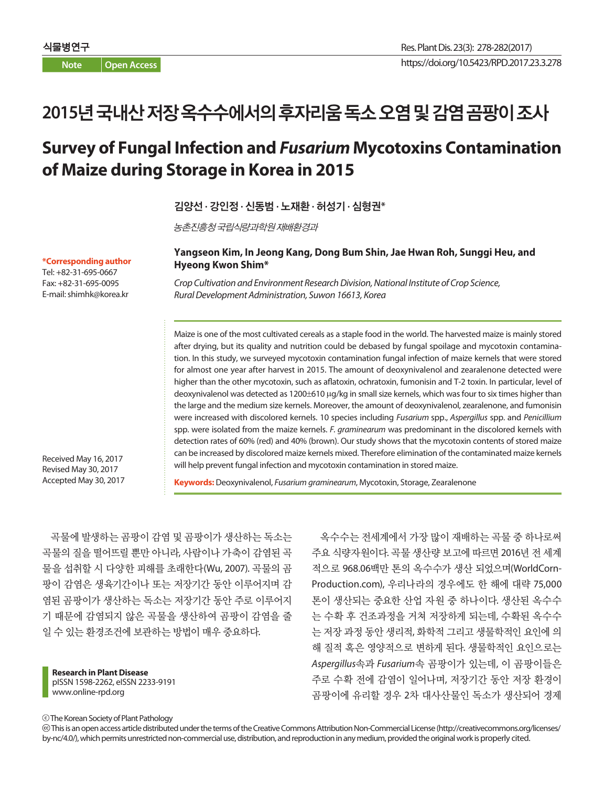**Note Open Access**

# **2015**년국내산저장옥수수에서의후자리움독소오염및감염곰팡이조사

## **Survey of Fungal Infection and** *Fusarium* **Mycotoxins Contamination of Maize during Storage in Korea in 2015**

김양선 **·** 강인정 **·** 신동범 **·** 노재환 **·** 허성기 **·** 심형권**\***

농촌진흥청국립식량과학원재배환경과

**\*Corresponding author** Tel: +82-31-695-0667 Fax: +82-31-695-0095 E-mail: shimhk@korea.kr

#### **Yangseon Kim, In Jeong Kang, Dong Bum Shin, Jae Hwan Roh, Sunggi Heu, and Hyeong Kwon Shim\***

*Crop Cultivation and Environment Research Division, National Institute of Crop Science, Rural Development Administration, Suwon 16613, Korea*

Maize is one of the most cultivated cereals as a staple food in the world. The harvested maize is mainly stored after drying, but its quality and nutrition could be debased by fungal spoilage and mycotoxin contamination. In this study, we surveyed mycotoxin contamination fungal infection of maize kernels that were stored for almost one year after harvest in 2015. The amount of deoxynivalenol and zearalenone detected were higher than the other mycotoxin, such as aflatoxin, ochratoxin, fumonisin and T-2 toxin. In particular, level of deoxynivalenol was detected as 1200±610 µg/kg in small size kernels, which was four to six times higher than the large and the medium size kernels. Moreover, the amount of deoxynivalenol, zearalenone, and fumonisin were increased with discolored kernels. 10 species including *Fusarium* spp., *Aspergillus* spp. and *Penicillium* spp. were isolated from the maize kernels. *F. graminearum* was predominant in the discolored kernels with detection rates of 60% (red) and 40% (brown). Our study shows that the mycotoxin contents of stored maize can be increased by discolored maize kernels mixed. Therefore elimination of the contaminated maize kernels will help prevent fungal infection and mycotoxin contamination in stored maize.

Received May 16, 2017 Revised May 30, 2017 Accepted May 30, 2017

**Keywords:** Deoxynivalenol, *Fusarium graminearum*, Mycotoxin, Storage, Zearalenone

곡물에 발생하는 곰팡이 감염 및 곰팡이가 생산하는 독소는 곡물의 질을 떨어뜨릴 뿐만 아니라, 사람이나 가축이 감염된 곡 물을 섭취할 시 다양한 피해를 초래한다(Wu, 2007). 곡물의 곰 팡이 감염은 생육기간이나 또는 저장기간 동안 이루어지며 감 염된 곰팡이가 생산하는 독소는 저장기간 동안 주로 이루어지 기 때문에 감염되지 않은 곡물을 생산하여 곰팡이 감염을 줄 일 수 있는 환경조건에 보관하는 방법이 매우 중요하다.

**Research in Plant Disease** pISSN 1598-2262, eISSN 2233-9191 www.online-rpd.org

옥수수는 전세계에서 가장 많이 재배하는 곡물 중 하나로써 주요 식량자원이다. 곡물 생산량 보고에 따르면 2016년 전 세계 적으로 968.06백만 톤의 옥수수가 생산 되었으며(WorldCorn-Production.com), 우리나라의 경우에도 한 해에 대략 75,000 톤이 생산되는 중요한 산업 자원 중 하나이다. 생산된 옥수수 는 수확 후 건조과정을 거쳐 저장하게 되는데, 수확된 옥수수 는 저장 과정 동안 생리적, 화학적 그리고 생물학적인 요인에 의 해 질적 혹은 영양적으로 변하게 된다. 생물학적인 요인으로는 *Aspergillus*속과 *Fusarium*속 곰팡이가 있는데, 이 곰팡이들은 주로 수확 전에 감염이 일어나며, 저장기간 동안 저장 환경이 곰팡이에 유리할 경우 2차 대사산물인 독소가 생산되어 경제

The Korean Society of Plant Pathology

 This is an open access article distributed under the terms of the Creative Commons Attribution Non-Commercial License (http://creativecommons.org/licenses/ by-nc/4.0/), which permits unrestricted non-commercial use, distribution, and reproduction in any medium, provided the original work is properly cited.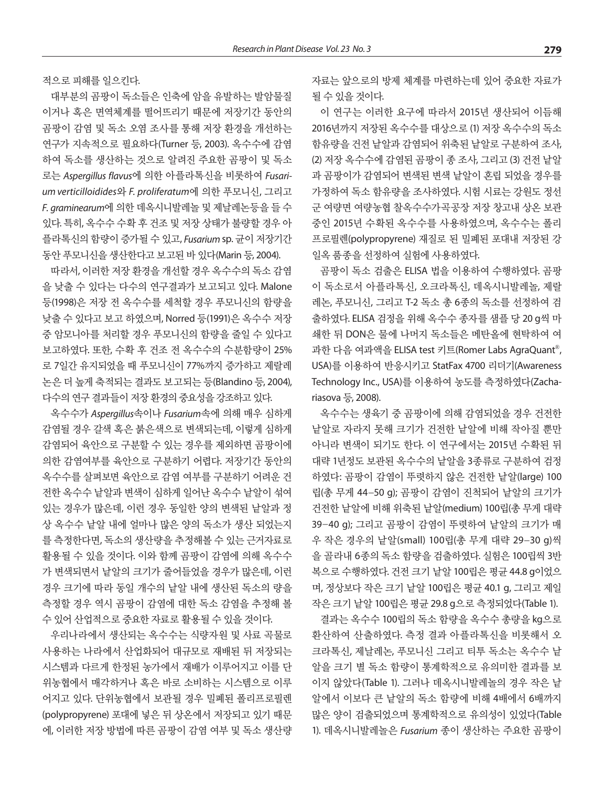적으로 피해를 일으킨다.

대부분의 곰팡이 독소들은 인축에 암을 유발하는 발암물질 이거나 혹은 면역체계를 떨어뜨리기 때문에 저장기간 동안의 곰팡이 감염 및 독소 오염 조사를 통해 저장 환경을 개선하는 연구가 지속적으로 필요하다(Turner 등, 2003). 옥수수에 감염 하여 독소를 생산하는 것으로 알려진 주요한 곰팡이 및 독소 로는 *Aspergillus flavus*에 의한 아플라톡신을 비롯하여 *Fusarium verticilloidides*와 *F. proliferatum*에 의한 푸모니신, 그리고 *F. graminearum*에 의한 데옥시니발레놀 및 제날레논등을 들 수 있다. 특히, 옥수수 수확 후 건조 및 저장 상태가 불량할 경우 아 플라톡신의 함량이 증가될 수 있고, *Fusarium* sp. 균이 저장기간 동안 푸모니신을 생산한다고 보고된 바 있다(Marin 등, 2004).

따라서, 이러한 저장 환경을 개선할 경우 옥수수의 독소 감염 을 낮출 수 있다는 다수의 연구결과가 보고되고 있다. Malone 등(1998)은 저장 전 옥수수를 세척할 경우 푸모니신의 함량을 낮출 수 있다고 보고 하였으며, Norred 등(1991)은 옥수수 저장 중 암모니아를 처리할 경우 푸모니신의 함량을 줄일 수 있다고 보고하였다. 또한, 수확 후 건조 전 옥수수의 수분함량이 25% 로 7일간 유지되었을 때 푸모니신이 77%까지 증가하고 제랄레 논은 더 높게 축적되는 결과도 보고되는 등(Blandino 등, 2004), 다수의 여구 결과들이 저장 화경의 중요성을 강조하고 있다.

옥수수가 *Aspergillus*속이나 *Fusarium*속에 의해 매우 심하게 감염될 경우 갈색 혹은 붉은색으로 변색되는데, 이렇게 심하게 감염되어 육안으로 구분할 수 있는 경우를 제외하면 곰팡이에 의한 감염여부를 육안으로 구분하기 어렵다. 저장기간 동안의 옥수수를 살펴보면 육안으로 감염 여부를 구분하기 어려운 건 전한 옥수수 낱알과 변색이 심하게 일어난 옥수수 낱알이 섞여 있는 경우가 많은데, 이런 경우 동일한 양의 변색된 낱알과 정 상 옥수수 낱알 내에 얼마나 많은 양의 독소가 생산 되었는지 를 측정한다면, 독소의 생산량을 추정해볼 수 있는 근거자료로 활용될 수 있을 것이다. 이와 함께 곰팡이 감염에 의해 옥수수 가 변색되면서 낱알의 크기가 줄어들었을 경우가 많은데, 이런 경우 크기에 따라 동일 개수의 낱알 내에 생산된 독소의 량을 측정할 경우 역시 곰팡이 감염에 대한 독소 감염을 추정해 볼 수 있어 산업적으로 중요한 자료로 활용될 수 있을 것이다.

우리나라에서 생산되는 옥수수는 식량자원 및 사료 곡물로 사용하는 나라에서 산업화되어 대규모로 재배된 뒤 저장되는 시스템과 다르게 한정된 농가에서 재배가 이루어지고 이를 단 위농협에서 매각하거나 혹은 바로 소비하는 시스템으로 이루 어지고 있다. 단위농협에서 보관될 경우 밀폐된 폴리프로필렌 (polypropyrene) 포대에 넣은 뒤 상온에서 저장되고 있기 때문 에, 이러한 저장 방법에 따른 곰팡이 감염 여부 및 독소 생산량 자료는 앞으로의 방제 체계를 마련하는데 있어 중요한 자료가 될 수 있을 것이다.

이 연구는 이러한 요구에 따라서 2015년 생산되어 이듬해 2016년까지 저장된 옥수수를 대상으로 (1) 저장 옥수수의 독소 함유량을 건전 낱알과 감염되어 위축된 낱알로 구분하여 조사, (2) 저장 옥수수에 감염된 곰팡이 종 조사, 그리고 (3) 건전 낱알 과 곰팡이가 감염되어 변색된 변색 낱알이 혼립 되었을 경우를 가정하여 독소 함유량을 조사하였다. 시험 시료는 강원도 정선 군 여량면 여량농협 찰옥수수가곡공장 저장 창고내 상온 보관 중인 2015년 수확된 옥수수를 사용하였으며, 옥수수는 폴리 프로필렌(polypropyrene) 재질로 된 밀폐된 포대내 저장된 강 일옥 품종을 선정하여 실험에 사용하였다.

곰팡이 독소 검출은 ELISA 법을 이용하여 수행하였다. 곰팡 이 독소로서 아플라톡신, 오크라톡신, 데옥시니발레놀, 제랄 레논, 푸모니신, 그리고 T-2 독소 총 6종의 독소를 선정하여 검 출하였다. ELISA 검정을 위해 옥수수 종자를 샘플 당 20 g씩 마 쇄한 뒤 DON은 물에 나머지 독소들은 메탄올에 현탁하여 여 과한 다음 여과액을 ELISA test 키트(Romer Labs AgraQuant ®, USA)를 이용하여 반응시키고 StatFax 4700 리더기(Awareness Technology Inc., USA)를 이용하여 농도를 측정하였다(Zachariasova 등, 2008).

옥수수는 생육기 중 곰팡이에 의해 감염되었을 경우 건전한 낱알로 자라지 못해 크기가 건전한 낱알에 비해 작아질 뿐만 아니라 변색이 되기도 한다. 이 연구에서는 2015년 수확된 뒤 대략 1년정도 보관된 옥수수의 낱알을 3종류로 구분하여 검정 하였다: 곰팡이 감염이 뚜렷하지 않은 건전한 낱알(large) 100 립(총 무게 44-50 g); 곰팡이 감염이 진척되어 낱알의 크기가 건전한 낱알에 비해 위축된 낱알(medium) 100립(총 무게 대략 39-40 g); 그리고 곰팡이 감염이 뚜렷하여 낱알의 크기가 매 우 작은 경우의 낱알(small) 100립(총 무게 대략 29-30 g)씩 을 골라내 6종의 독소 함량을 검출하였다. 실험은 100립씩 3반 복으로 수행하였다. 건전 크기 낱알 100립은 평균 44.8 g이었으 며, 정상보다 작은 크기 낱알 100립은 평균 40.1 g, 그리고 제일 작은 크기 낱알 100립은 평균 29.8 g으로 측정되었다(Table 1).

결과는 옥수수 100립의 독소 함량을 옥수수 총량을 kg으로 환산하여 산출하였다. 측정 결과 아플라톡신을 비롯해서 오 크라톡신, 제날레논, 푸모니신 그리고 티투 독소는 옥수수 낱 알을 크기 별 독소 함량이 통계학적으로 유의미한 결과를 보 이지 않았다(Table 1). 그러나 데옥시니발레놀의 경우 작은 낱 알에서 이보다 큰 낱알의 독소 함량에 비해 4배에서 6배까지 많은 양이 검출되었으며 통계학적으로 유의성이 있었다(Table 1). 데옥시니발레놀은 *Fusarium* 종이 생산하는 주요한 곰팡이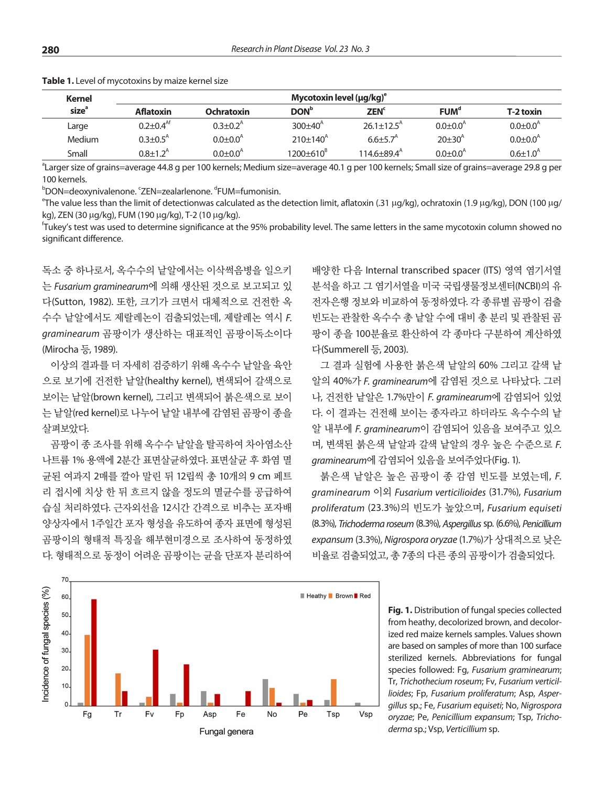| Kernel<br>size <sup>a</sup> | Mycotoxin level $(\mu g/kg)^e$ |                            |                         |                             |                        |                            |  |  |
|-----------------------------|--------------------------------|----------------------------|-------------------------|-----------------------------|------------------------|----------------------------|--|--|
|                             | <b>Aflatoxin</b>               | Ochratoxin                 | <b>DON</b> <sup>b</sup> | <b>ZEN<sup>c</sup></b>      | FUM <sup>d</sup>       | T-2 toxin                  |  |  |
| Large                       | $0.2 + 0.4$ <sup>At</sup>      | $0.3 \pm 0.2$ <sup>A</sup> | $300+40^{4}$            | $26.1 + 12.5^{\text{A}}$    | $0.0 + 0.0^{\text{A}}$ | $0.0 \pm 0.0^{\circ}$      |  |  |
| Medium                      | $0.3 + 0.5A$                   | $0.0 + 0.0^4$              | $210\pm140^{4}$         | $6.6 + 5.7A$                | $20+30^{4}$            | $0.0 \pm 0.0$ <sup>A</sup> |  |  |
| Small                       | $0.8 + 1.2A$                   | $0.0 + 0.0^{\circ}$        | $1200+610^{8}$          | $114.6 \pm 89.4^{\text{A}}$ | $0.0 + 0.0^{\text{A}}$ | $0.6 \pm 1.0^{A}$          |  |  |

**Table 1.** Level of mycotoxins by maize kernel size

a Larger size of grains=average 44.8 g per 100 kernels; Medium size=average 40.1 g per 100 kernels; Small size of grains=average 29.8 g per 100 kernels.

<sup>b</sup>DON=deoxynivalenone. ʿZEN=zealarlenone. <sup>d</sup>FUM=fumonisin.

<sup>e</sup>The value less than the limit of detectionwas calculated as the detection limit, aflatoxin (.31 µg/kg), ochratoxin (1.9 µg/kg), DON (100 µg/ kg), ZEN (30 µg/kg), FUM (190 µg/kg), T-2 (10 µg/kg).

f Tukey's test was used to determine significance at the 95% probability level. The same letters in the same mycotoxin column showed no significant difference.

독소 중 하나로서, 옥수수의 낱알에서는 이삭썩음병을 일으키 는 *Fusarium graminearum*에 의해 생산된 것으로 보고되고 있 다(Sutton, 1982). 또한, 크기가 크면서 대체적으로 건전한 옥 수수 낱알에서도 제랄레논이 검출되었는데, 제랄레논 역시 *F. graminearum* 곰팡이가 생산하는 대표적인 곰팡이독소이다 (Mirocha 등, 1989).

이상의 결과를 더 자세히 검증하기 위해 옥수수 낱알을 육안 으로 보기에 건전한 낱알(healthy kernel), 변색되어 갈색으로 보이는 낱알(brown kernel), 그리고 변색되어 붉은색으로 보이 는 낱알(red kernel)로 나누어 낱알 내부에 감염된 곰팡이 종을 살펴보았다.

곰팡이 종 조사를 위해 옥수수 낱알을 탈곡하여 차아염소산 나트륨 1% 용액에 2분간 표면살균하였다. 표면살균 후 화염 멸 균된 여과지 2매를 깔아 말린 뒤 12립씩 총 10개의 9 cm 페트 리 접시에 치상 한 뒤 흐르지 않을 정도의 멸균수를 공급하여 습실 처리하였다. 근자외선을 12시간 간격으로 비추는 포자배 양상자에서 1주일간 포자 형성을 유도하여 종자 표면에 형성된 곰팡이의 형태적 특징을 해부현미경으로 조사하여 동정하였 다. 형태적으로 동정이 어려운 곰팡이는 균을 단포자 분리하여

배양한 다음 Internal transcribed spacer (ITS) 영역 염기서열 분석을 하고 그 염기서열을 미국 국립생물정보센터(NCBI)의 유 전자은행 정보와 비교하여 동정하였다. 각 종류별 곰팡이 검출 빈도는 관찰한 옥수수 총 낱알 수에 대비 총 분리 및 관찰된 곰 팡이 종을 100분율로 환산하여 각 종마다 구분하여 계산하였 다(Summerell 등, 2003).

그 결과 실험에 사용한 붉은색 낱알의 60% 그리고 갈색 낱 알의 40%가 *F. graminearum*에 감염된 것으로 나타났다. 그러 나, 건전한 낱알은 1.7%만이 *F. graminearum*에 감염되어 있었 다. 이 결과는 건전해 보이는 종자라고 하더라도 옥수수의 낱 알 내부에 *F. graminearum*이 감염되어 있음을 보여주고 있으 며, 변색된 붉은색 낱알과 갈색 낱알의 경우 높은 수준으로 *F. graminearum*에 감염되어 있음을 보여주었다(Fig. 1).

붉은색 낱알은 높은 곰팡이 종 감염 빈도를 보였는데, *F. graminearum* 이외 *Fusarium verticilioides* (31.7%), *Fusarium proliferatum* (23.3%)의 빈도가 높았으며, *Fusarium equiseti* (8.3%), *Trichoderma roseum* (8.3%), *Aspergillus*sp. (6.6%), *Penicillium expansum* (3.3%), *Nigrospora oryzae* (1.7%)가 상대적으로 낮은 비율로 검출되었고, 총 7종의 다른 종의 곰팡이가 검출되었다.



**Fig. 1.** Distribution of fungal species collected from heathy, decolorized brown, and decolorized red maize kernels samples. Values shown are based on samples of more than 100 surface sterilized kernels. Abbreviations for fungal species followed: Fg, *Fusarium graminearum*; Tr, *Trichothecium roseum*; Fv, *Fusarium verticillioides*; Fp, *Fusarium proliferatum*; Asp, *Aspergillus* sp.; Fe, *Fusarium equiseti*; No, *Nigrospora oryzae*; Pe, *Penicillium expansum*; Tsp, *Trichoderma* sp.; Vsp, *Verticillium* sp.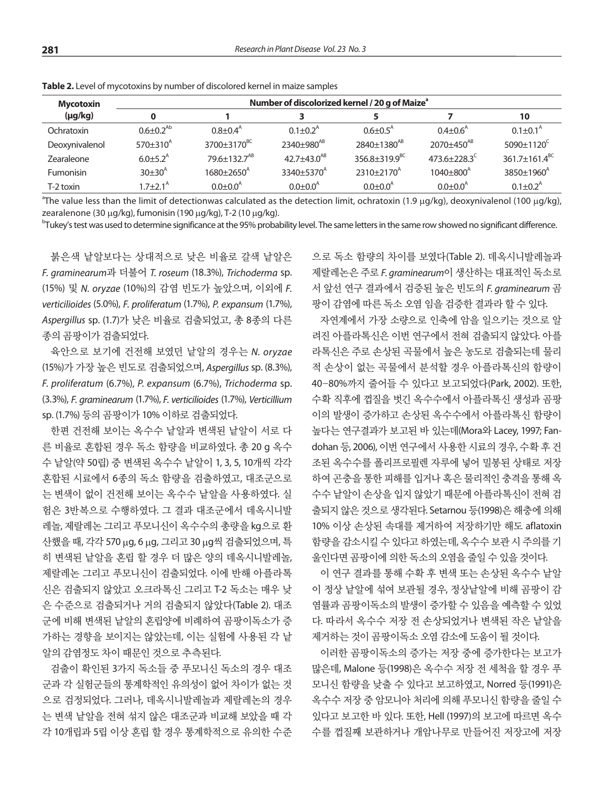| Mycotoxin      | Number of discolorized kernel / 20 g of Maize <sup>ª</sup> |                            |                               |                               |                           |                           |  |  |
|----------------|------------------------------------------------------------|----------------------------|-------------------------------|-------------------------------|---------------------------|---------------------------|--|--|
| $(\mu g/kg)$   |                                                            |                            |                               |                               |                           | 10                        |  |  |
| Ochratoxin     | $0.6 \pm 0.2^{Ab}$                                         | $0.8 \pm 0.4$ <sup>A</sup> | $0.1 + 0.2^{\text{A}}$        | $0.6 \pm 0.5$ <sup>A</sup>    | $0.4 + 0.6A$              | $0.1 + 0.1^{\text{A}}$    |  |  |
| Deoxynivalenol | $570\pm310^{A}$                                            | 3700±3170 <sup>BC</sup>    | 2340±980 <sup>AB</sup>        | 2840±1380 <sup>AB</sup>       | 2070±450 <sup>AB</sup>    | $5090+1120^{\circ}$       |  |  |
| Zearaleone     | $6.0 + 5.2^{\text{A}}$                                     | 79.6±132.7 <sup>AB</sup>   | 42.7 $\pm$ 43.0 <sup>AB</sup> | $356.8 \pm 319.9^{\text{BC}}$ | $473.6 + 228.3^{\circ}$   | 361.7±161.4 <sup>BC</sup> |  |  |
| Fumonisin      | $30 \pm 30^{A}$                                            | $1680+2650^{A}$            | 3340±5370 <sup>A</sup>        | $2310\pm2170^{\circ}$         | $1040 \pm 800^{\text{A}}$ | $3850+1960^{A}$           |  |  |
| T-2 toxin      | 1 7 + 2 $1^{\circ}$                                        | $0.0 + 0.0^{\text{A}}$     | $0.0 + 0.0^{\text{A}}$        | $0.0 + 0.0^{\circ}$           | $0.0 + 0.0^{\circ}$       | $0.1 + 0.2^{\text{A}}$    |  |  |

**Table 2.** Level of mycotoxins by number of discolored kernel in maize samples

<sup>a</sup>The value less than the limit of detectionwas calculated as the detection limit, ochratoxin (1.9 μg/kg), deoxynivalenol (100 μg/kg), zearalenone (30  $\mu$ g/kg), fumonisin (190  $\mu$ g/kg), T-2 (10  $\mu$ g/kg).

 $^{\rm b}$ Tukey's test was used to determine significance at the 95% probability level. The same letters in the same row showed no significant difference.

붉은색 낱알보다는 상대적으로 낮은 비율로 갈색 낱알은 *F. graminearum*과 더불어 *T. roseum* (18.3%), *Trichoderma* sp. (15%) 및 *N. oryzae* (10%)의 감염 빈도가 높았으며, 이외에 *F. verticilioides* (5.0%), *F. proliferatum* (1.7%), *P. expansum* (1.7%), *Aspergillus* sp. (1.7)가 낮은 비율로 검출되었고, 총 8종의 다른 종의 곰팡이가 검출되었다.

육안으로 보기에 건전해 보였던 낱알의 경우는 *N. oryzae*  (15%)가 가장 높은 빈도로 검출되었으며, *Aspergillus* sp. (8.3%), *F. proliferatum* (6.7%), *P. expansum* (6.7%), *Trichoderma* sp. (3.3%), *F. graminearum* (1.7%), *F. verticilioides* (1.7%), *Verticillium*  sp. (1.7%) 등의 곰팡이가 10% 이하로 검출되었다.

한편 건전해 보이는 옥수수 낱알과 변색된 낱알이 서로 다 른 비율로 혼합된 경우 독소 함량을 비교하였다. 총 20 g 옥수 수 낱알(약 50립) 중 변색된 옥수수 낱알이 1, 3, 5, 10개씩 각각 혼합된 시료에서 6종의 독소 함량을 검출하였고, 대조군으로 는 변색이 없이 건전해 보이는 옥수수 낱알을 사용하였다. 실 험은 3반복으로 수행하였다. 그 결과 대조군에서 데옥시니발 레놀, 제랄레논 그리고 푸모니신이 옥수수의 총량을 kg으로 환 산했을 때, 각각 570 mg, 6 mg, 그리고 30 mg씩 검출되었으며, 특 히 변색된 낱알을 혼립 할 경우 더 많은 양의 데옥시니발레놀, 제랄레논 그리고 푸모니신이 검출되었다. 이에 반해 아플라톡 신은 검출되지 않았고 오크라톡신 그리고 T-2 독소는 매우 낮 은 수준으로 검출되거나 거의 검출되지 않았다(Table 2). 대조 군에 비해 변색된 낱알의 혼립양에 비례하여 곰팡이독소가 증 가하는 경향을 보이지는 않았는데, 이는 실험에 사용된 각 낱 알의 감염정도 차이 때문인 것으로 추측된다.

검출이 확인된 3가지 독소들 중 푸모니신 독소의 경우 대조 군과 각 실험군들의 통계학적인 유의성이 없어 차이가 없는 것 으로 검정되었다. 그러나, 데옥시니발레놀과 제랄레논의 경우 는 변색 낱알을 전혀 섞지 않은 대조군과 비교해 보았을 때 각 각 10개립과 5립 이상 혼립 할 경우 통계학적으로 유의한 수준 으로 독소 함량의 차이를 보였다(Table 2). 데옥시니발레놀과 제랄레논은 주로 *F. graminearum*이 생산하는 대표적인 독소로 서 앞선 연구 결과에서 검증된 높은 빈도의 *F. graminearum* 곰 팡이 감염에 따른 독소 오염 임을 검증한 결과라 할 수 있다.

자연계에서 가장 소량으로 인축에 암을 일으키는 것으로 알 려진 아플라톡신은 이번 연구에서 전혀 검출되지 않았다. 아플 라톡신은 주로 손상된 곡물에서 높은 농도로 검출되는데 물리 적 손상이 없는 곡물에서 분석할 경우 아플라톡신의 함량이 40-80%까지 줄어들 수 있다고 보고되었다(Park, 2002). 또한, 수확 직후에 껍질을 벗긴 옥수수에서 아플라톡신 생성과 곰팡 이의 발생이 증가하고 손상된 옥수수에서 아플라톡신 함량이 높다는 연구결과가 보고된 바 있는데(Mora와 Lacey, 1997; Fandohan 등, 2006), 이번 연구에서 사용한 시료의 경우, 수확 후 건 조된 옥수수를 폴리프로필렌 자루에 넣어 밀봉된 상태로 저장 하여 곤충을 통한 피해를 입거나 혹은 물리적인 충격을 통해 옥 수수 낱알이 손상을 입지 않았기 때문에 아플라톡신이 전혀 검 출되지 않은 것으로 생각된다. Setarnou 등(1998)은 해충에 의해 10% 이상 손상된 속대를 제거하여 저장하기만 해도 aflatoxin 함량을 감소시킬 수 있다고 하였는데, 옥수수 보관 시 주의를 기 울인다면 곰팡이에 의한 독소의 오염을 줄일 수 있을 것이다.

이 연구 결과를 통해 수확 후 변색 또는 손상된 옥수수 낱알 이 정상 낱알에 섞여 보관될 경우, 정상낱알에 비해 곰팡이 감 염률과 곰팡이독소의 발생이 증가할 수 있음을 예측할 수 있었 다. 따라서 옥수수 저장 전 손상되었거나 변색된 작은 낱알을 제거하는 것이 곰팡이독소 오염 감소에 도움이 될 것이다.

이러한 곰팡이독소의 증가는 저장 중에 증가한다는 보고가 많은데, Malone 등(1998)은 옥수수 저장 전 세척을 할 경우 푸 모니신 함량을 낮출 수 있다고 보고하였고, Norred 등(1991)은 옥수수 저장 중 암모니아 처리에 의해 푸모니신 함량을 줄일 수 있다고 보고한 바 있다. 또한, Hell (1997)의 보고에 따르면 옥수 수를 껍질째 보관하거나 개암나무로 만들어진 저장고에 저장